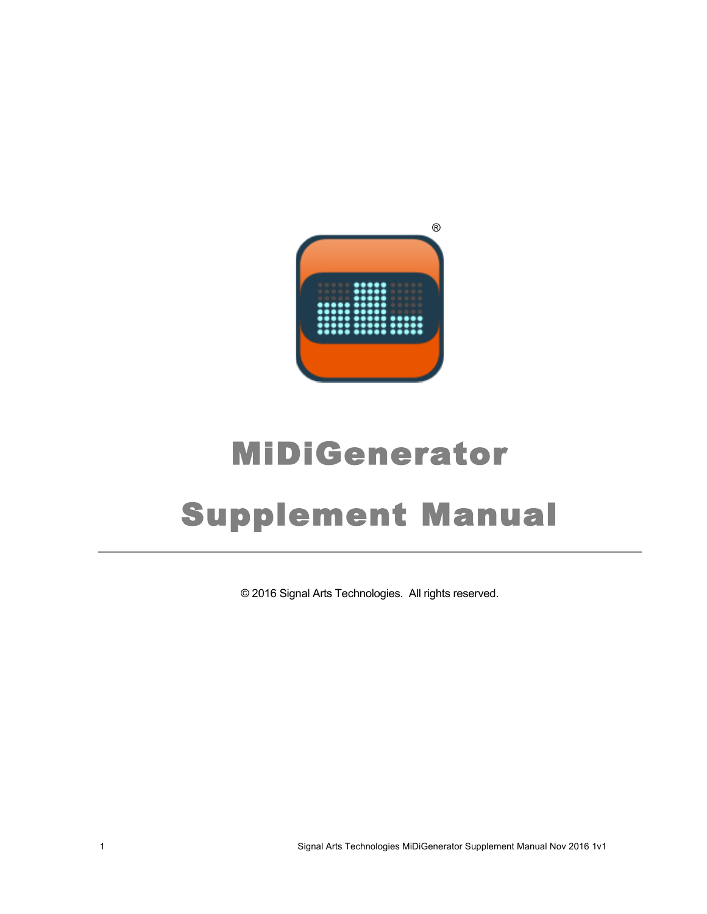

# MiDiGenerator Supplement Manual

© 2016 Signal Arts Technologies. All rights reserved.

1 Signal Arts Technologies MiDiGenerator Supplement Manual Nov 2016 1v1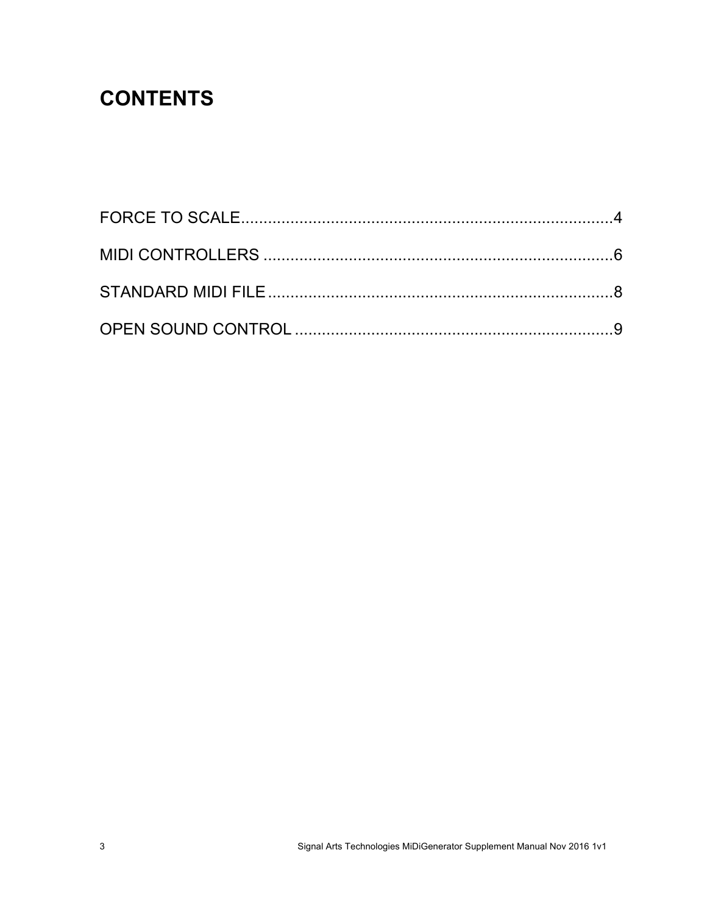## **CONTENTS**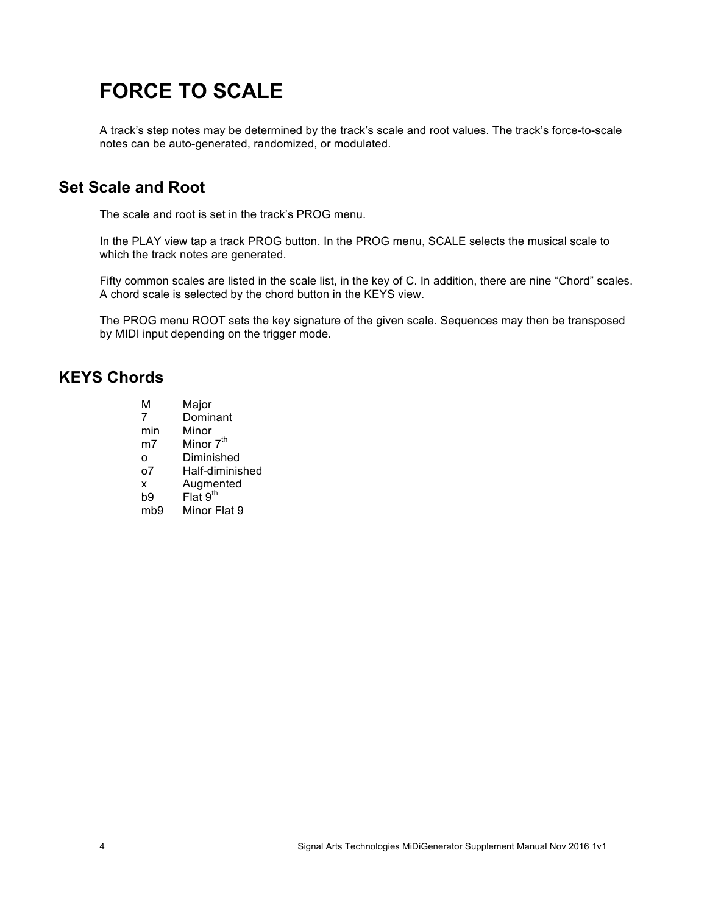## **FORCE TO SCALE**

A track's step notes may be determined by the track's scale and root values. The track's force-to-scale notes can be auto-generated, randomized, or modulated.

#### **Set Scale and Root**

The scale and root is set in the track's PROG menu.

In the PLAY view tap a track PROG button. In the PROG menu, SCALE selects the musical scale to which the track notes are generated.

Fifty common scales are listed in the scale list, in the key of C. In addition, there are nine "Chord" scales. A chord scale is selected by the chord button in the KEYS view.

The PROG menu ROOT sets the key signature of the given scale. Sequences may then be transposed by MIDI input depending on the trigger mode.

#### **KEYS Chords**

| м               | Major                             |
|-----------------|-----------------------------------|
| 7               | Dominant                          |
| min             | Minor                             |
| m <sub>7</sub>  | Minor 7 <sup>th</sup>             |
| O               | Diminished                        |
| ο7              | Half-diminished                   |
| x               | Augmented<br>Flat 9 <sup>th</sup> |
| b9              |                                   |
| mb <sub>9</sub> | Minor Flat 9                      |
|                 |                                   |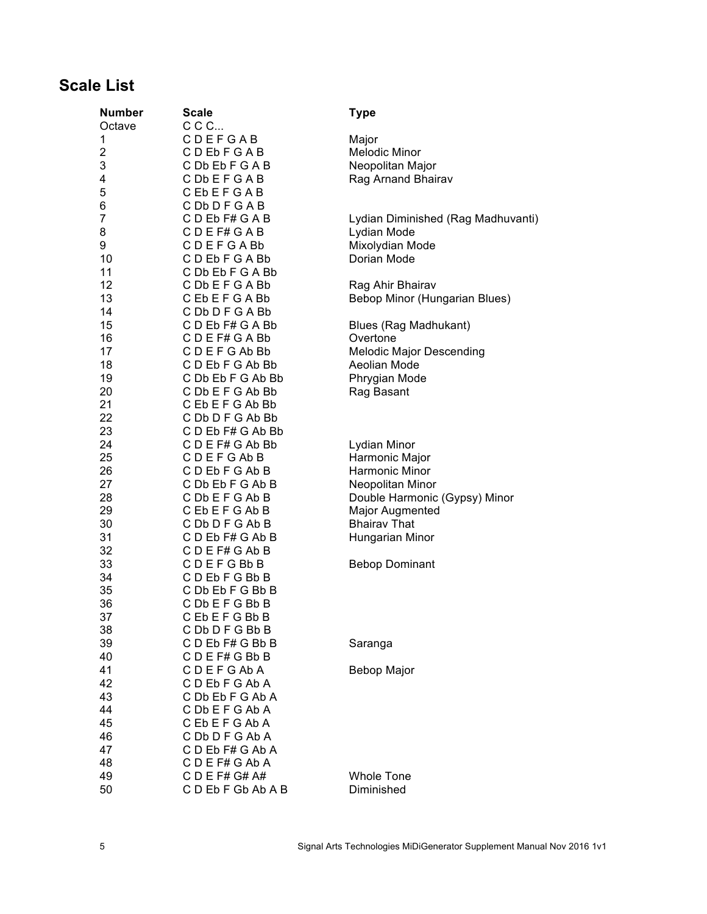#### **Scale List**

| <b>Number</b>  | <b>Scale</b><br>CCC                 | <b>Type</b>                                 |
|----------------|-------------------------------------|---------------------------------------------|
| Octave<br>1    | CDEFGAB                             | Major                                       |
| $\overline{2}$ | CDEbFGAB                            | <b>Melodic Minor</b>                        |
| 3              | C Db Eb F G A B                     | Neopolitan Major                            |
| 4              | CDbEFGAB                            | Rag Arnand Bhairav                          |
| 5              | CEbEFGAB                            |                                             |
| 6              | CDbDFGAB                            |                                             |
| $\overline{7}$ | CDEbF#GAB                           | Lydian Diminished (Rag Madhuvanti)          |
| 8              | CDEF#GAB                            | Lydian Mode                                 |
| 9              | CDEFGABb                            | Mixolydian Mode                             |
| 10             | CDEbFGABb                           | Dorian Mode                                 |
| 11             | C Db Eb F G A Bb                    |                                             |
| 12             | C Db E F G A Bb                     | Rag Ahir Bhairav                            |
| 13             | <b>CEbEFGABb</b>                    | Bebop Minor (Hungarian Blues)               |
| 14             | C Db D F G A Bb                     |                                             |
| 15             | CD Eb F# G A Bb                     | Blues (Rag Madhukant)                       |
| 16<br>17       | CDEF#GABb<br>C D E F G Ab Bb        | Overtone<br><b>Melodic Major Descending</b> |
| 18             | CDEbFGAbBb                          | Aeolian Mode                                |
| 19             | C Db Eb F G Ab Bb                   | Phrygian Mode                               |
| 20             | C Db E F G Ab Bb                    | Rag Basant                                  |
| 21             | CEbEFGAbBb                          |                                             |
| 22             | C Db D F G Ab Bb                    |                                             |
| 23             | C D Eb F# G Ab Bb                   |                                             |
| 24             | CDEF#GAbBb                          | Lydian Minor                                |
| 25             | CDEFGAbB                            | Harmonic Major                              |
| 26             | CDEbFGAbB                           | Harmonic Minor                              |
| 27             | C Db Eb F G Ab B                    | Neopolitan Minor                            |
| 28             | C Db E F G Ab B                     | Double Harmonic (Gypsy) Minor               |
| 29<br>30       | C Eb E F G Ab B                     | Major Augmented<br><b>Bhairav That</b>      |
| 31             | C Db D F G Ab B<br>C D Eb F# G Ab B | Hungarian Minor                             |
| 32             | CDEF#GAbB                           |                                             |
| 33             | <b>CDEFGBbB</b>                     | <b>Bebop Dominant</b>                       |
| 34             | CDEbFGBbB                           |                                             |
| 35             | C Db Eb F G Bb B                    |                                             |
| 36             | CDb EFGBbB                          |                                             |
| 37             | C Fb F F G Bb B                     |                                             |
| 38             | CDbDFGBbB                           |                                             |
| 39             | CD Eb F# G Bb B                     | Saranga                                     |
| 40             | CDEF#GBbB                           |                                             |
| 41             | <b>CDEFGAbA</b>                     | Bebop Major                                 |
| 42             | CDEbFGAbA                           |                                             |
| 43             | C Db Eb F G Ab A                    |                                             |
| 44<br>45       | CDbEFGAbA<br>CEbEFGAbA              |                                             |
| 46             | C Db D F G Ab A                     |                                             |
| 47             | C D Eb F# G Ab A                    |                                             |
| 48             | CDEF#GAbA                           |                                             |
| 49             | $C$ D E F# G# A#                    | <b>Whole Tone</b>                           |
| 50             | CDEbFGbAbAB                         | Diminished                                  |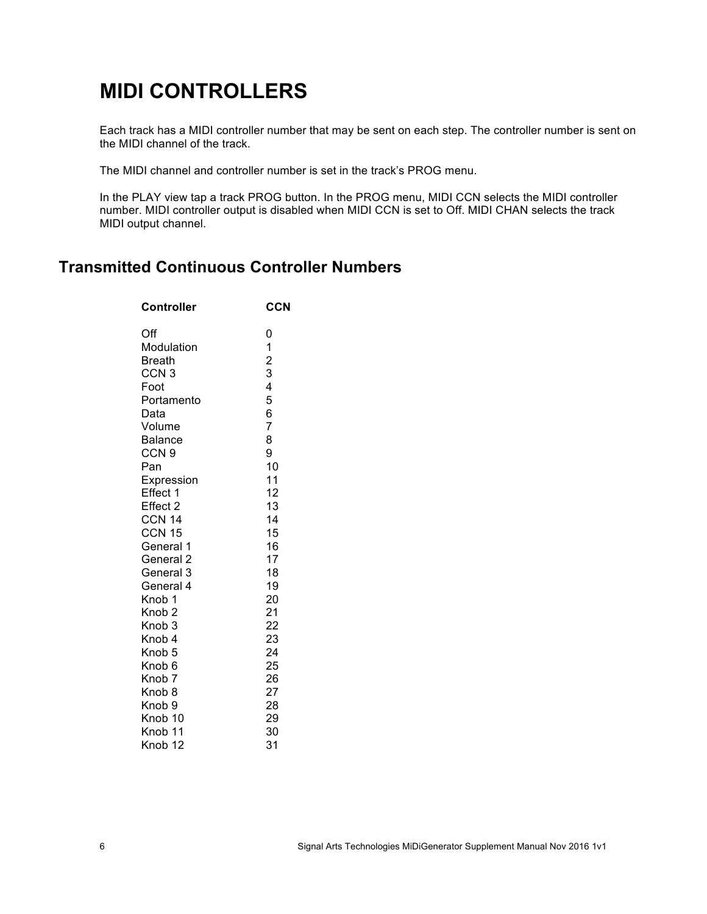## **MIDI CONTROLLERS**

Each track has a MIDI controller number that may be sent on each step. The controller number is sent on the MIDI channel of the track.

The MIDI channel and controller number is set in the track's PROG menu.

In the PLAY view tap a track PROG button. In the PROG menu, MIDI CCN selects the MIDI controller number. MIDI controller output is disabled when MIDI CCN is set to Off. MIDI CHAN selects the track MIDI output channel.

#### **Transmitted Continuous Controller Numbers**

| <b>Controller</b>  | <b>CCN</b>                                 |
|--------------------|--------------------------------------------|
| Off                | 0                                          |
| Modulation         |                                            |
| Breath             |                                            |
| CCN <sub>3</sub>   | $\begin{array}{c} 1 \\ 2 \\ 3 \end{array}$ |
| Foot               | 4                                          |
| Portamento         | 5                                          |
| Data               | 6                                          |
| Volume             | $\overline{7}$                             |
| Balance            | 8                                          |
| CCN <sub>9</sub>   | 9                                          |
| Pan                | 10                                         |
| Expression         | 11                                         |
| Effect 1           | 12                                         |
| Effect 2           | 13                                         |
| <b>CCN 14</b>      | 14                                         |
| CCN 15             | 15                                         |
| General 1          | 16                                         |
| General 2          | 17                                         |
| General 3          | 18                                         |
| General 4          | 19                                         |
| Knob 1             | 20                                         |
| Knob <sub>2</sub>  | 21                                         |
| Knob <sub>3</sub>  | 22                                         |
| Knob 4             | 23                                         |
| Knob <sub>5</sub>  | 24                                         |
| Knob <sub>6</sub>  | 25                                         |
| Knob <sub>7</sub>  | 26                                         |
| Knob <sub>8</sub>  | 27                                         |
| Knob <sub>9</sub>  | 28                                         |
| Knob <sub>10</sub> | 29                                         |
| Knob <sub>11</sub> | 30                                         |
| Knob <sub>12</sub> | 31                                         |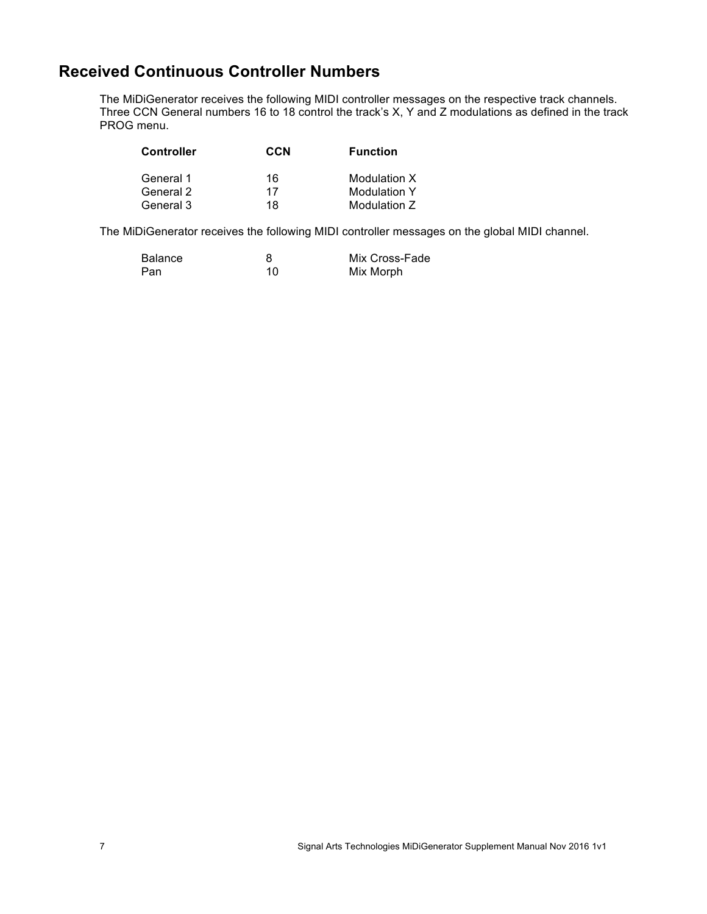#### **Received Continuous Controller Numbers**

The MiDiGenerator receives the following MIDI controller messages on the respective track channels. Three CCN General numbers 16 to 18 control the track's X, Y and Z modulations as defined in the track PROG menu.

| <b>Controller</b> | CCN | <b>Function</b>     |
|-------------------|-----|---------------------|
| General 1         | 16  | Modulation X        |
| General 2         | 17  | <b>Modulation Y</b> |
| General 3         | 18  | Modulation Z        |

The MiDiGenerator receives the following MIDI controller messages on the global MIDI channel.

| Balance |    | Mix Cross-Fade |
|---------|----|----------------|
| Pan     | 10 | Mix Morph      |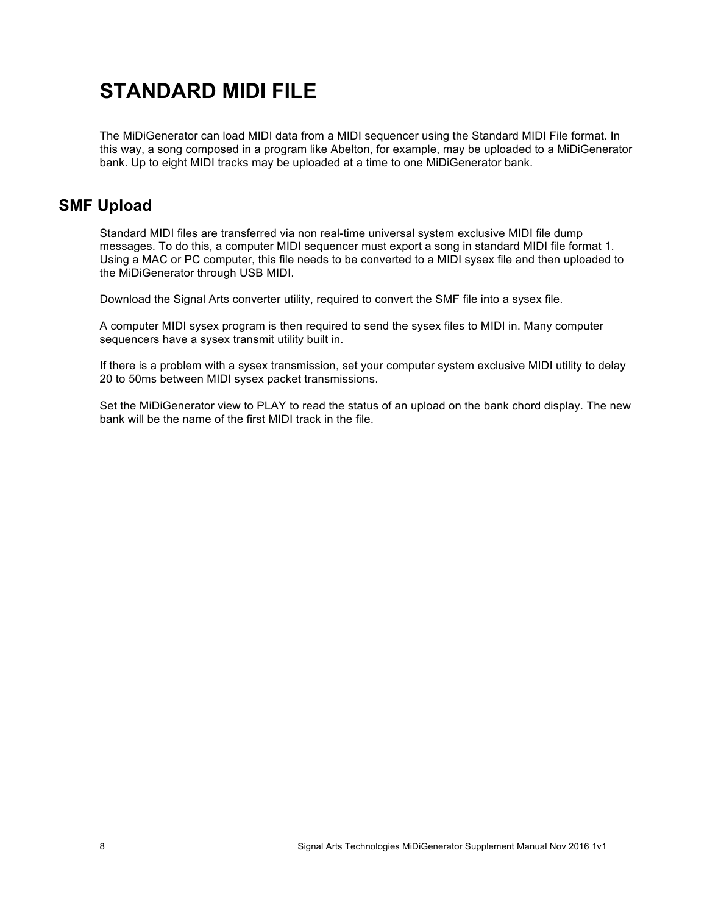## **STANDARD MIDI FILE**

The MiDiGenerator can load MIDI data from a MIDI sequencer using the Standard MIDI File format. In this way, a song composed in a program like Abelton, for example, may be uploaded to a MiDiGenerator bank. Up to eight MIDI tracks may be uploaded at a time to one MiDiGenerator bank.

#### **SMF Upload**

Standard MIDI files are transferred via non real-time universal system exclusive MIDI file dump messages. To do this, a computer MIDI sequencer must export a song in standard MIDI file format 1. Using a MAC or PC computer, this file needs to be converted to a MIDI sysex file and then uploaded to the MiDiGenerator through USB MIDI.

Download the Signal Arts converter utility, required to convert the SMF file into a sysex file.

A computer MIDI sysex program is then required to send the sysex files to MIDI in. Many computer sequencers have a sysex transmit utility built in.

If there is a problem with a sysex transmission, set your computer system exclusive MIDI utility to delay 20 to 50ms between MIDI sysex packet transmissions.

Set the MiDiGenerator view to PLAY to read the status of an upload on the bank chord display. The new bank will be the name of the first MIDI track in the file.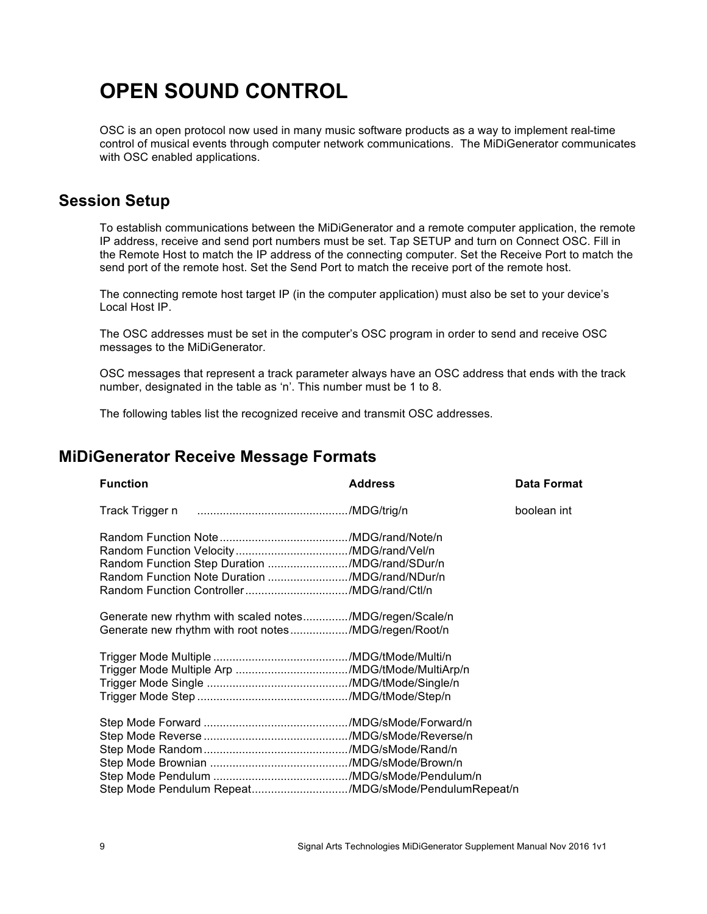## **OPEN SOUND CONTROL**

OSC is an open protocol now used in many music software products as a way to implement real-time control of musical events through computer network communications. The MiDiGenerator communicates with OSC enabled applications.

#### **Session Setup**

To establish communications between the MiDiGenerator and a remote computer application, the remote IP address, receive and send port numbers must be set. Tap SETUP and turn on Connect OSC. Fill in the Remote Host to match the IP address of the connecting computer. Set the Receive Port to match the send port of the remote host. Set the Send Port to match the receive port of the remote host.

The connecting remote host target IP (in the computer application) must also be set to your device's Local Host IP.

The OSC addresses must be set in the computer's OSC program in order to send and receive OSC messages to the MiDiGenerator.

OSC messages that represent a track parameter always have an OSC address that ends with the track number, designated in the table as 'n'. This number must be 1 to 8.

The following tables list the recognized receive and transmit OSC addresses.

#### **MiDiGenerator Receive Message Formats**

| <b>Function</b>                                                                                                 | <b>Address</b> | <b>Data Format</b> |
|-----------------------------------------------------------------------------------------------------------------|----------------|--------------------|
|                                                                                                                 |                | boolean int        |
| Random Function Step Duration /MDG/rand/SDur/n<br>Random Function Note Duration /MDG/rand/NDur/n                |                |                    |
| Generate new rhythm with scaled notes/MDG/regen/Scale/n<br>Generate new rhythm with root notes/MDG/regen/Root/n |                |                    |
|                                                                                                                 |                |                    |
| Step Mode Pendulum Repeat/MDG/sMode/PendulumRepeat/n                                                            |                |                    |